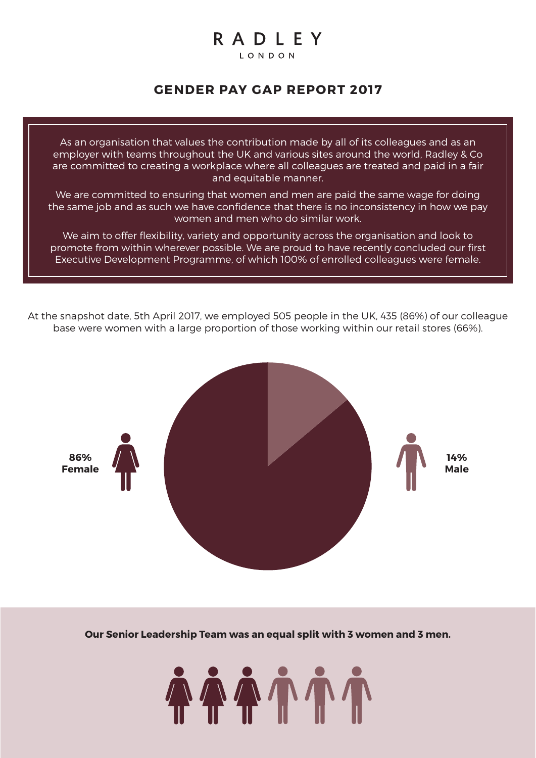# RADLEY

LONDON

## **GENDER PAY GAP REPORT 2017**

As an organisation that values the contribution made by all of its colleagues and as an employer with teams throughout the UK and various sites around the world, Radley & Co are committed to creating a workplace where all colleagues are treated and paid in a fair and equitable manner.

We are committed to ensuring that women and men are paid the same wage for doing the same job and as such we have confidence that there is no inconsistency in how we pay women and men who do similar work.

We aim to offer flexibility, variety and opportunity across the organisation and look to promote from within wherever possible. We are proud to have recently concluded our first Executive Development Programme, of which 100% of enrolled colleagues were female.

At the snapshot date, 5th April 2017, we employed 505 people in the UK, 435 (86%) of our colleague base were women with a large proportion of those working within our retail stores (66%).



**Our Senior Leadership Team was an equal split with 3 women and 3 men.**